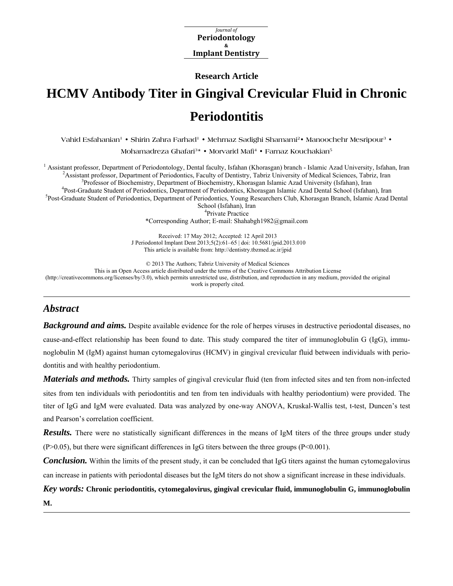*Journal* of **Periodontology Implant Dentistry &** 

**Research Article** 

# **HCMV Antibody Titer in Gingival Crevicular Fluid in Chronic Periodontitis**

**Vahid Esfahanian1 • Shirin Zahra Farhad1 • Mehrnaz Sadighi Shamami2• Manoochehr Mesripour3 •** 

**Mohamadreza Ghafari3\* • Morvarid Mafi4 • Farnaz Kouchakian5**

<sup>1</sup> Assistant professor, Department of Periodontology, Dental faculty, Isfahan (Khorasgan) branch - Islamic Azad University, Isfahan, Iran  $\frac{2}{3}$ Assistant professor, Department of Periodonties, Feoulty of Deptity, Tehr <sup>2</sup> Assistant professor, Department of Periodontics, Faculty of Dentistry, Tabriz University of Medical Sciences, Tabriz, Iran Professor of Biochemistry, Department of Biochemistry, Khorasgan Islamic Azad University (Isfahan), Iran <sup>4</sup>Post-Graduate Student of Periodontics, Department of Periodontics, Khorasgan Islamic Azad Dental School (Isfahan), Iran <sup>5</sup>Post-Graduate Student of Periodontics, Department of Periodontics, Young Researchers Club, Khorasgan Branch, Islamic Azad Dental School (Isfahan), Iran <sup>4</sup>Private Practice

\*Corresponding Author; E-mail: Shahabgh1982@gmail.com

Received: 17 May 2012; Accepted: 12 April 2013 J Periodontol Implant Dent 2013;5(2):61–65 | [doi: 10.5681/jpid.2013.010](http://dx.doi.org/10.5681/jpid.2013.010)  This article is available from: <http://dentistry.tbzmed.ac.ir/jpid>

© 2013 The Authors; Tabriz University of Medical Sciences

This is an Open Access article distributed under the terms of the Creative Commons Attribution License [\(http://creativecommons.org/licenses/by/3.0](http://creativecommons.org/licenses/by/3.0)), which permits unrestricted use, distribution, and reproduction in any medium, provided the original work is properly cited.

# *Abstract*

**Background and aims.** Despite available evidence for the role of herpes viruses in destructive periodontal diseases, no cause-and-effect relationship has been found to date. This study compared the titer of immunoglobulin G (IgG), immunoglobulin M (IgM) against human cytomegalovirus (HCMV) in gingival crevicular fluid between individuals with periodontitis and with healthy periodontium.

*Materials and methods.* Thirty samples of gingival crevicular fluid (ten from infected sites and ten from non-infected sites from ten individuals with periodontitis and ten from ten individuals with healthy periodontium) were provided. The titer of IgG and IgM were evaluated. Data was analyzed by one-way ANOVA, Kruskal-Wallis test, t-test, Duncen's test and Pearson's correlation coefficient.

*Results.* There were no statistically significant differences in the means of IgM titers of the three groups under study (P>0.05), but there were significant differences in IgG titers between the three groups (P<0.001).

*Conclusion.* Within the limits of the present study, it can be concluded that IgG titers against the human cytomegalovirus can increase in patients with periodontal diseases but the IgM titers do not show a significant increase in these individuals.

*Key words:* **Chronic periodontitis, cytomegalovirus, gingival crevicular fluid, immunoglobulin G, immunoglobulin M.**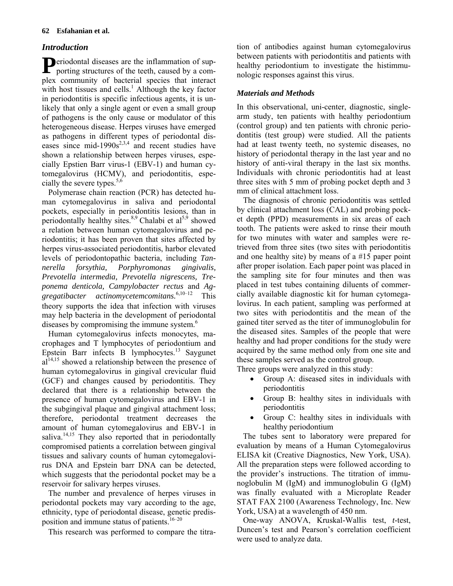# **62 Esfahanian et al.**

# *Introduction*

Periodontal diseases are the inflammation of supporting structures of the teeth, caused by a comporting structures of the teeth, caused by a complex community of bacterial species that interact with host tissues and cells.<sup>1</sup> Although the key factor in periodontitis is specific infectious agents, it is unlikely that only a single agent or even a small group of pathogens is the only cause or modulator of this heterogeneous disease. Herpes viruses have emerged as pathogens in different types of periodontal diseases since mid-1990s<sup>2,3,4</sup> and recent studies have shown a relationship between herpes viruses, especially Epstien Barr virus-1 (EBV-1) and human cytomegalovirus (HCMV), and periodontitis, especially the severe types. $5,6$ 

Polymerase chain reaction (PCR) has detected human cytomegalovirus in saliva and periodontal pockets, especially in periodontitis lesions, than in periodontally healthy sites.<sup>8,9</sup> Chalabi et  $al^{5,9}$  showed a relation between human cytomegalovirus and periodontitis; it has been proven that sites affected by herpes virus-associated periodontitis, harbor elevated levels of periodontopathic bacteria, including *Tannerella forsythia, Porphyromonas gingivalis, Prevotella intermedia, Prevotella nigrescens, Treponema denticola, Campylobacter rectus* and *Aggregatibacter actinomycetemcomitans.*6,10‒12 This theory supports the idea that infection with viruses may help bacteria in the development of periodontal diseases by compromising the immune system.<sup>6</sup>

Human cytomegalovirus infects monocytes, macrophages and T lymphocytes of periodontium and Epstein Barr infects B lymphocytes.<sup>13</sup> Saygunet  $al<sup>14,15</sup>$  showed a relationship between the presence of human cytomegalovirus in gingival crevicular fluid (GCF) and changes caused by periodontitis. They declared that there is a relationship between the presence of human cytomegalovirus and EBV-1 in the subgingival plaque and gingival attachment loss; therefore, periodontal treatment decreases the amount of human cytomegalovirus and EBV-1 in saliva. $14,15$  They also reported that in periodontally compromised patients a correlation between gingival tissues and salivary counts of human cytomegalovirus DNA and Epstein barr DNA can be detected, which suggests that the periodontal pocket may be a reservoir for salivary herpes viruses.

The number and prevalence of herpes viruses in periodontal pockets may vary according to the age, ethnicity, type of periodontal disease, genetic predisposition and immune status of patients.<sup>16-20</sup>

This research was performed to compare the titra-

tion of antibodies against human cytomegalovirus between patients with periodontitis and patients with healthy periodontium to investigate the histimmunologic responses against this virus.

# *Materials and Methods*

In this observational, uni-center, diagnostic, singlearm study, ten patients with healthy periodontium (control group) and ten patients with chronic periodontitis (test group) were studied. All the patients had at least twenty teeth, no systemic diseases, no history of periodontal therapy in the last year and no history of anti-viral therapy in the last six months. Individuals with chronic periodontitis had at least three sites with 5 mm of probing pocket depth and 3 mm of clinical attachment loss.

The diagnosis of chronic periodontitis was settled by clinical attachment loss (CAL) and probing pocket depth (PPD) measurements in six areas of each tooth. The patients were asked to rinse their mouth for two minutes with water and samples were retrieved from three sites (two sites with periodontitis and one healthy site) by means of a #15 paper point after proper isolation. Each paper point was placed in the sampling site for four minutes and then was placed in test tubes containing diluents of commercially available diagnostic kit for human cytomegalovirus. In each patient, sampling was performed at two sites with periodontitis and the mean of the gained titer served as the titer of immunoglobulin for the diseased sites. Samples of the people that were healthy and had proper conditions for the study were acquired by the same method only from one site and these samples served as the control group.

Three groups were analyzed in this study:

- Group A: diseased sites in individuals with periodontitis
- Group B: healthy sites in individuals with periodontitis
- Group C: healthy sites in individuals with healthy periodontium

The tubes sent to laboratory were prepared for evaluation by means of a Human Cytomegalovirus ELISA kit (Creative Diagnostics, New York, USA). All the preparation steps were followed according to the provider's instructions. The titration of immunoglobulin M (IgM) and immunoglobulin G (IgM) was finally evaluated with a Microplate Reader STAT FAX 2100 (Awareness Technology, Inc. New York, USA) at a wavelength of 450 nm.

One-way ANOVA, Kruskal-Wallis test, *t*-test, Duncen's test and Pearson's correlation coefficient were used to analyze data.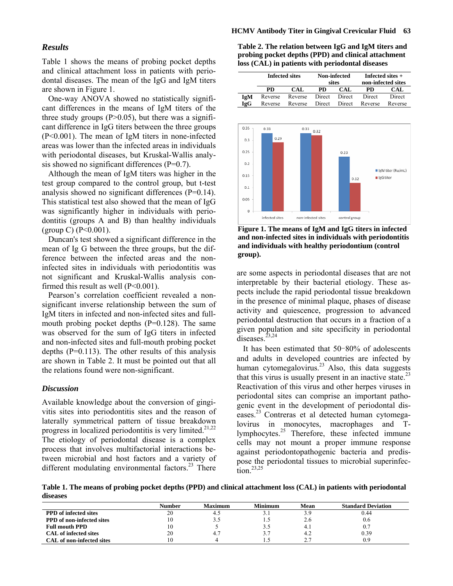#### **HCMV Antibody Titer in Gingival Crevicular Fluid 63**

#### *Results*

Table 1 shows the means of probing pocket depths and clinical attachment loss in patients with periodontal diseases. The mean of the IgG and IgM titers are shown in Figure 1.

One-way ANOVA showed no statistically significant differences in the means of IgM titers of the three study groups  $(P>0.05)$ , but there was a significant difference in IgG titers between the three groups (P<0.001). The mean of IgM titers in none-infected areas was lower than the infected areas in individuals with periodontal diseases, but Kruskal-Wallis analysis showed no significant differences (P=0.7).

Although the mean of IgM titers was higher in the test group compared to the control group, but t-test analysis showed no significant differences (P=0.14). This statistical test also showed that the mean of IgG was significantly higher in individuals with periodontitis (groups A and B) than healthy individuals  $(group C) (P<0.001)$ .

Duncan's test showed a significant difference in the mean of Ig G between the three groups, but the difference between the infected areas and the noninfected sites in individuals with periodontitis was not significant and Kruskal-Wallis analysis confirmed this result as well (P<0.001).

Pearson's correlation coefficient revealed a nonsignificant inverse relationship between the sum of IgM titers in infected and non-infected sites and fullmouth probing pocket depths  $(P=0.128)$ . The same was observed for the sum of IgG titers in infected and non-infected sites and full-mouth probing pocket depths  $(P=0.113)$ . The other results of this analysis are shown in Table 2. It must be pointed out that all the relations found were non-significant.

#### *Discussion*

Available knowledge about the conversion of gingivitis sites into periodontitis sites and the reason of laterally symmetrical pattern of tissue breakdown progress in localized periodontitis is very limited. $21,22$ The etiology of periodontal disease is a complex process that involves multifactorial interactions between microbial and host factors and a variety of different modulating environmental factors. $^{23}$  There

**Table 2. The relation between IgG and IgM titers and probing pocket depths (PPD) and clinical attachment loss (CAL) in patients with periodontal diseases** 

|     | <b>Infected sites</b> |         | Non-infected<br>sites |        | Infected sites $+$<br>non-infected sites |         |
|-----|-----------------------|---------|-----------------------|--------|------------------------------------------|---------|
|     | PD.                   | CAL     | <b>PD</b>             | CAL    | <b>PD</b>                                | CAL     |
| IgM | Reverse               | Reverse | Direct                | Direct | Direct                                   | Direct  |
| IgG | Reverse               | Reverse | Direct                | Direct | Reverse                                  | Reverse |



**Figure 1. The means of IgM and IgG titers in infected and non-infected sites in individuals with periodontitis and individuals with healthy periodontium (control group).** 

are some aspects in periodontal diseases that are not interpretable by their bacterial etiology. These aspects include the rapid periodontal tissue breakdown in the presence of minimal plaque, phases of disease activity and quiescence, progression to advanced periodontal destruction that occurs in a fraction of a given population and site specificity in periodontal diseases.<sup>23,24</sup>

It has been estimated that 50‒80% of adolescents and adults in developed countries are infected by human cytomegalovirus.<sup>23</sup> Also, this data suggests that this virus is usually present in an inactive state.<sup>23</sup> Reactivation of this virus and other herpes viruses in periodontal sites can comprise an important pathogenic event in the development of periodontal diseases.23 Contreras et al detected human cytomegalovirus in monocytes, macrophages and Tlymphocytes.25 Therefore, these infected immune cells may not mount a proper immune response against periodontopathogenic bacteria and predispose the periodontal tissues to microbial superinfec- $\int$ tion<sup>23,25</sup>

**Table 1. The means of probing pocket depths (PPD) and clinical attachment loss (CAL) in patients with periodontal diseases** 

|                                  | <b>Number</b> | Maximum | <b>Minimum</b> | Mean | <b>Standard Deviation</b> |
|----------------------------------|---------------|---------|----------------|------|---------------------------|
| <b>PPD</b> of infected sites     | 20            |         |                | 3.9  | 0.44                      |
| <b>PPD</b> of non-infected sites |               |         |                | 2.6  | 0.6                       |
| <b>Full mouth PPD</b>            | 10            |         |                | 4.1  | 0.7                       |
| <b>CAL</b> of infected sites     | 20            | 4.7     |                | 4.2  | 0.39                      |
| CAL of non-infected sites        |               |         |                | າ າ  | 0.9                       |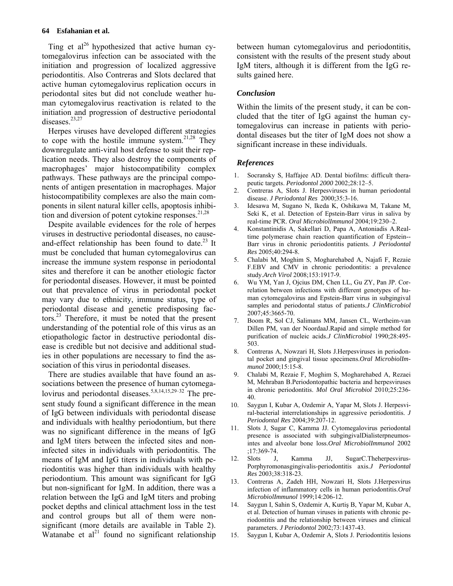Ting et  $al^{26}$  hypothesized that active human cytomegalovirus infection can be associated with the initiation and progression of localized aggressive periodontitis. Also Contreras and Slots declared that active human cytomegalovirus replication occurs in periodontal sites but did not conclude weather human cytomegalovirus reactivation is related to the initiation and progression of destructive periodontal diseases.<sup>23,27</sup>

Herpes viruses have developed different strategies to cope with the hostile immune system.<sup>21,28</sup> They downregulate anti-viral host defense to suit their replication needs. They also destroy the components of macrophages' major histocompatibility complex pathways. These pathways are the principal components of antigen presentation in macrophages. Major histocompatibility complexes are also the main components in silent natural killer cells, apoptosis inhibition and diversion of potent cytokine responses.<sup>21,28</sup>

Despite available evidences for the role of herpes viruses in destructive periodontal diseases, no causeand-effect relationship has been found to date.<sup>23</sup> It must be concluded that human cytomegalovirus can increase the immune system response in periodontal sites and therefore it can be another etiologic factor for periodontal diseases. However, it must be pointed out that prevalence of virus in periodontal pocket may vary due to ethnicity, immune status, type of periodontal disease and genetic predisposing factors.23 Therefore, it must be noted that the present understanding of the potential role of this virus as an etiopathologic factor in destructive periodontal disease is credible but not decisive and additional studies in other populations are necessary to find the association of this virus in periodontal diseases.

There are studies available that have found an associations between the presence of human cytomegalovirus and periodontal diseases.<sup>5,8,14,15,29-32</sup> The present study found a significant difference in the mean of IgG between individuals with periodontal disease and individuals with healthy periodontium, but there was no significant difference in the means of IgG and IgM titers between the infected sites and noninfected sites in individuals with periodontitis. The means of IgM and IgG titers in individuals with periodontitis was higher than individuals with healthy periodontium. This amount was significant for IgG but non-significant for IgM. In addition, there was a relation between the IgG and IgM titers and probing pocket depths and clinical attachment loss in the test and control groups but all of them were nonsignificant (more details are available in Table 2). Watanabe et  $al<sup>21</sup>$  found no significant relationship between human cytomegalovirus and periodontitis, consistent with the results of the present study about IgM titers, although it is different from the IgG results gained here.

### *Conclusion*

Within the limits of the present study, it can be concluded that the titer of IgG against the human cytomegalovirus can increase in patients with periodontal diseases but the titer of IgM does not show a significant increase in these individuals.

# *References*

- 1. Socransky S, Haffajee AD. Dental biofilms: difficult therapeutic targets. *Periodontol 2000* 2002;28:12–5.
- 2. Contreras A, Slots J. Herpesviruses in human periodontal disease. *J Periodontal Res* 2000;35:3-16.
- 3. Idesawa M, Sugano N, Ikeda K, Oshikawa M, Takane M, Seki K, et al. Detection of Epstein-Barr virus in saliva by real-time PCR. *Oral MicrobiolImmunol* 2004;19:230–2.
- 4. Konstantinidis A, Sakellari D, Papa A, Antoniadis A.Realtime polymerase chain reaction quantification of Epstein-- Barr virus in chronic periodontitis patients. *J Periodontal Res* 2005;40:294-8.
- 5. Chalabi M, Moghim S, Mogharehabed A, Najafi F, Rezaie F.EBV and CMV in chronic periodontitis: a prevalence study.*Arch Virol* 2008;153:1917-9.
- 6. Wu YM, Yan J, Ojcius DM, Chen LL, Gu ZY, Pan JP. Correlation between infections with different genotypes of human cytomegalovirus and Epstein-Barr virus in subgingival samples and periodontal status of patients.*J ClinMicrobiol* 2007;45:3665-70.
- 7. Boom R, Sol CJ, Salimans MM, Jansen CL, Wertheim-van Dillen PM, van der NoordaaJ.Rapid and simple method for purification of nucleic acids.*J ClinMicrobiol* 1990;28:495- 503.
- 8. Contreras A, Nowzari H, Slots J.Herpesviruses in periodontal pocket and gingival tissue specimens.*Oral MicrobiolImmunol* 2000;15:15-8.
- 9. Chalabi M, Rezaie F, Moghim S, Mogharehabed A, Rezaei M, Mehraban B.Periodontopathic bacteria and herpesviruses in chronic periodontitis. *Mol Oral Microbiol* 2010;25:236- 40.
- 10. Saygun I, Kubar A, Ozdemir A, Yapar M, Slots J. Herpesviral-bacterial interrelationships in aggressive periodontitis. *J Periodontal Res* 2004;39:207-12.
- 11. Slots J, Sugar C, Kamma JJ. Cytomegalovirus periodontal presence is associated with subgingivalDialisterpneumosintes and alveolar bone loss.*Oral MicrobiolImmunol* 2002 ;17:369-74.
- 12. Slots J, Kamma JJ, SugarC.Theherpesvirus-Porphyromonasgingivalis-periodontitis axis.*J Periodontal Res* 2003;38:318-23.
- 13. Contreras A, Zadeh HH, Nowzari H, Slots J.Herpesvirus infection of inflammatory cells in human periodontitis.*Oral MicrobiolImmunol* 1999;14:206-12.
- 14. Saygun I, Sahin S, Ozdemir A, Kurtiş B, Yapar M, Kubar A, et al. Detection of human viruses in patients with chronic periodontitis and the relationship between viruses and clinical parameters. *J Periodontol* 2002;73:1437-43.
- 15. Saygun I, Kubar A, Ozdemir A, Slots J. Periodontitis lesions